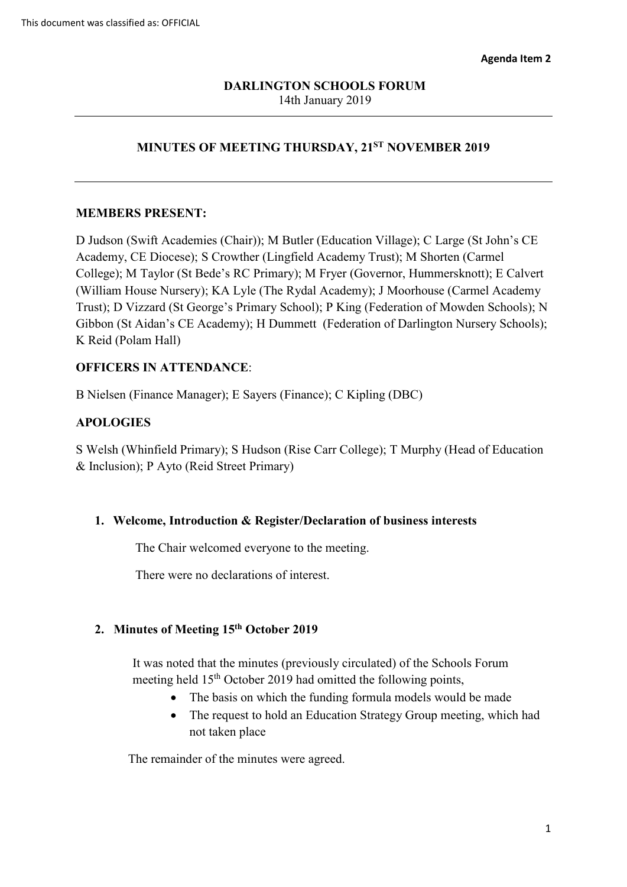## **MINUTES OF MEETING THURSDAY, 21ST NOVEMBER 2019**

### **MEMBERS PRESENT:**

 D Judson (Swift Academies (Chair)); M Butler (Education Village); C Large (St John's CE Trust); D Vizzard (St George's Primary School); P King (Federation of Mowden Schools); N Academy, CE Diocese); S Crowther (Lingfield Academy Trust); M Shorten (Carmel College); M Taylor (St Bede's RC Primary); M Fryer (Governor, Hummersknott); E Calvert (William House Nursery); KA Lyle (The Rydal Academy); J Moorhouse (Carmel Academy Gibbon (St Aidan's CE Academy); H Dummett (Federation of Darlington Nursery Schools); K Reid (Polam Hall)

### **OFFICERS IN ATTENDANCE**:

B Nielsen (Finance Manager); E Sayers (Finance); C Kipling (DBC)

### **APOLOGIES**

S Welsh (Whinfield Primary); S Hudson (Rise Carr College); T Murphy (Head of Education & Inclusion); P Ayto (Reid Street Primary)

#### **1. Welcome, Introduction & Register/Declaration of business interests**

The Chair welcomed everyone to the meeting.

There were no declarations of interest.

### **2. Minutes of Meeting 15th October 2019**

meeting held 15<sup>th</sup> October 2019 had omitted the following points, It was noted that the minutes (previously circulated) of the Schools Forum

- The basis on which the funding formula models would be made
- not taken place • The request to hold an Education Strategy Group meeting, which had

The remainder of the minutes were agreed.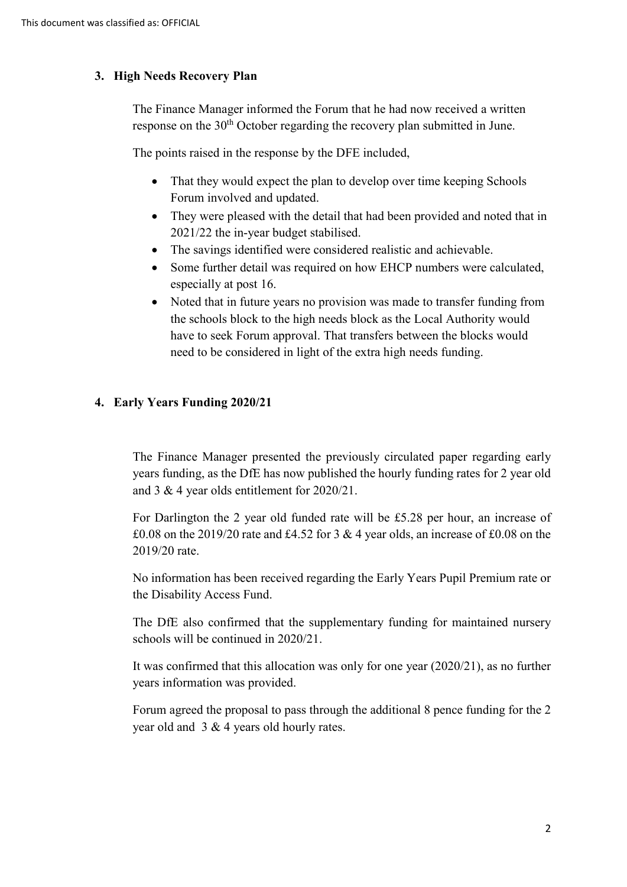## **3. High Needs Recovery Plan**

response on the  $30<sup>th</sup>$  October regarding the recovery plan submitted in June. The Finance Manager informed the Forum that he had now received a written

The points raised in the response by the DFE included,

- • That they would expect the plan to develop over time keeping Schools Forum involved and updated.
- 2021/22 the in-year budget stabilised. • They were pleased with the detail that had been provided and noted that in
- The savings identified were considered realistic and achievable.
- especially at post 16. • Some further detail was required on how EHCP numbers were calculated,
- • Noted that in future years no provision was made to transfer funding from need to be considered in light of the extra high needs funding. the schools block to the high needs block as the Local Authority would have to seek Forum approval. That transfers between the blocks would

## **4. Early Years Funding 2020/21**

 years funding, as the DfE has now published the hourly funding rates for 2 year old The Finance Manager presented the previously circulated paper regarding early and 3 & 4 year olds entitlement for 2020/21.

For Darlington the 2 year old funded rate will be £5.28 per hour, an increase of £0.08 on the 2019/20 rate and £4.52 for 3  $\&$  4 year olds, an increase of £0.08 on the 2019/20 rate.

No information has been received regarding the Early Years Pupil Premium rate or the Disability Access Fund.

 The DfE also confirmed that the supplementary funding for maintained nursery schools will be continued in 2020/21.

It was confirmed that this allocation was only for one year (2020/21), as no further years information was provided.

year old and  $3 \& 4$  years old hourly rates. Forum agreed the proposal to pass through the additional 8 pence funding for the 2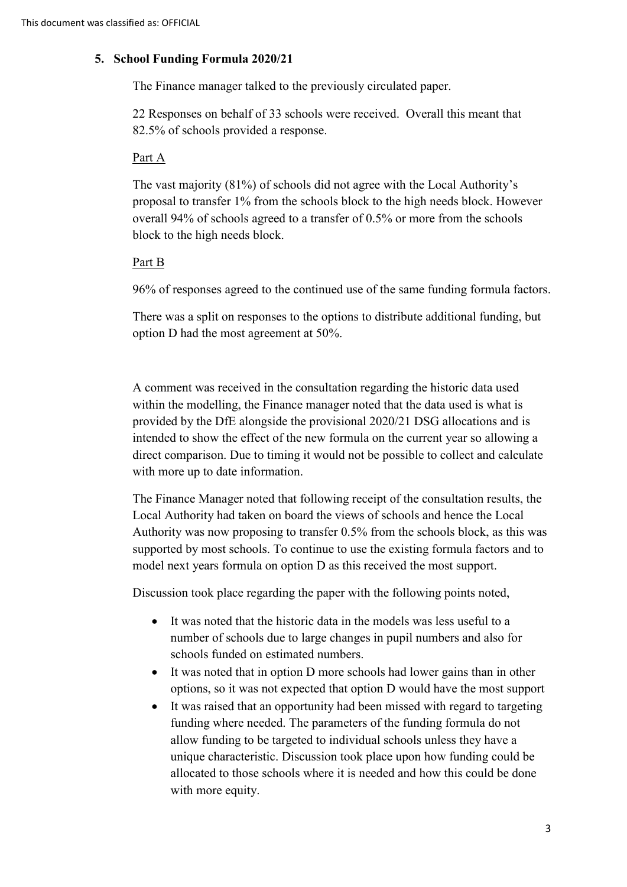### **5. School Funding Formula 2020/21**

The Finance manager talked to the previously circulated paper.

22 Responses on behalf of 33 schools were received. Overall this meant that 82.5% of schools provided a response.

### Part A

 The vast majority (81%) of schools did not agree with the Local Authority's proposal to transfer 1% from the schools block to the high needs block. However overall 94% of schools agreed to a transfer of 0.5% or more from the schools block to the high needs block.

### Part B

96% of responses agreed to the continued use of the same funding formula factors.

There was a split on responses to the options to distribute additional funding, but option D had the most agreement at 50%.

A comment was received in the consultation regarding the historic data used within the modelling, the Finance manager noted that the data used is what is provided by the DfE alongside the provisional 2020/21 DSG allocations and is intended to show the effect of the new formula on the current year so allowing a direct comparison. Due to timing it would not be possible to collect and calculate with more up to date information.

 Local Authority had taken on board the views of schools and hence the Local The Finance Manager noted that following receipt of the consultation results, the Authority was now proposing to transfer 0.5% from the schools block, as this was supported by most schools. To continue to use the existing formula factors and to model next years formula on option D as this received the most support.

Discussion took place regarding the paper with the following points noted,

- It was noted that the historic data in the models was less useful to a number of schools due to large changes in pupil numbers and also for schools funded on estimated numbers.
- It was noted that in option D more schools had lower gains than in other options, so it was not expected that option D would have the most support
- unique characteristic. Discussion took place upon how funding could be • It was raised that an opportunity had been missed with regard to targeting funding where needed. The parameters of the funding formula do not allow funding to be targeted to individual schools unless they have a allocated to those schools where it is needed and how this could be done with more equity.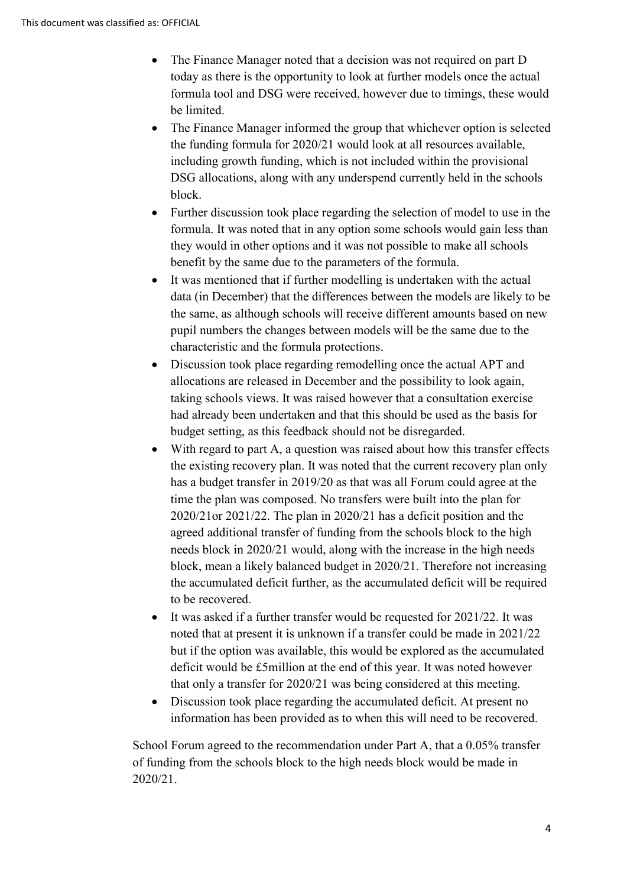- The Finance Manager noted that a decision was not required on part D today as there is the opportunity to look at further models once the actual formula tool and DSG were received, however due to timings, these would be limited.
- The Finance Manager informed the group that whichever option is selected the funding formula for 2020/21 would look at all resources available, including growth funding, which is not included within the provisional DSG allocations, along with any underspend currently held in the schools block.
- Further discussion took place regarding the selection of model to use in the formula. It was noted that in any option some schools would gain less than they would in other options and it was not possible to make all schools benefit by the same due to the parameters of the formula.
- the same, as although schools will receive different amounts based on new • It was mentioned that if further modelling is undertaken with the actual data (in December) that the differences between the models are likely to be pupil numbers the changes between models will be the same due to the characteristic and the formula protections.
- Discussion took place regarding remodelling once the actual APT and allocations are released in December and the possibility to look again, taking schools views. It was raised however that a consultation exercise had already been undertaken and that this should be used as the basis for budget setting, as this feedback should not be disregarded.
- With regard to part A, a question was raised about how this transfer effects the existing recovery plan. It was noted that the current recovery plan only has a budget transfer in 2019/20 as that was all Forum could agree at the time the plan was composed. No transfers were built into the plan for 2020/21or 2021/22. The plan in 2020/21 has a deficit position and the agreed additional transfer of funding from the schools block to the high needs block in 2020/21 would, along with the increase in the high needs block, mean a likely balanced budget in 2020/21. Therefore not increasing the accumulated deficit further, as the accumulated deficit will be required to be recovered.
- It was asked if a further transfer would be requested for 2021/22. It was noted that at present it is unknown if a transfer could be made in 2021/22 but if the option was available, this would be explored as the accumulated deficit would be £5million at the end of this year. It was noted however that only a transfer for 2020/21 was being considered at this meeting.
- Discussion took place regarding the accumulated deficit. At present no information has been provided as to when this will need to be recovered.

School Forum agreed to the recommendation under Part A, that a 0.05% transfer of funding from the schools block to the high needs block would be made in 2020/21.